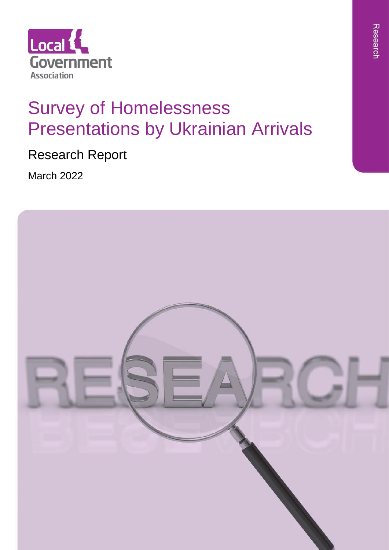

# Survey of Homelessness Presentations by Ukrainian Arrivals

Research Report

March 2022

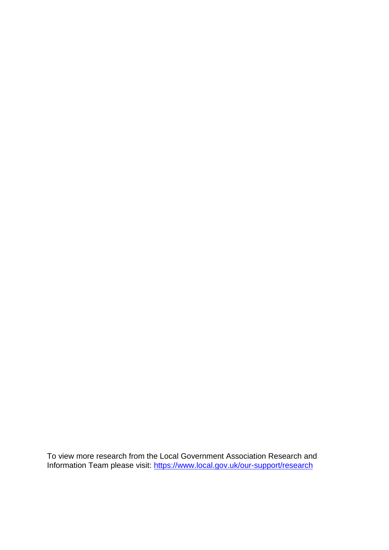To view more research from the Local Government Association Research and Information Team please visit:<https://www.local.gov.uk/our-support/research>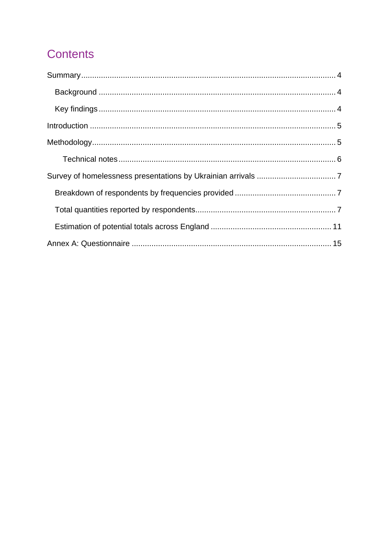# **Contents**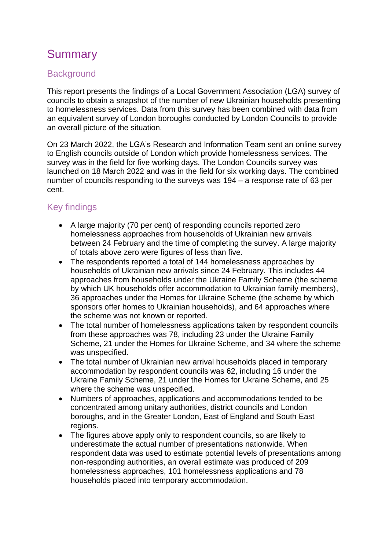# <span id="page-3-0"></span>Summary

### <span id="page-3-1"></span>**Background**

This report presents the findings of a Local Government Association (LGA) survey of councils to obtain a snapshot of the number of new Ukrainian households presenting to homelessness services. Data from this survey has been combined with data from an equivalent survey of London boroughs conducted by London Councils to provide an overall picture of the situation.

On 23 March 2022, the LGA's Research and Information Team sent an online survey to English councils outside of London which provide homelessness services. The survey was in the field for five working days. The London Councils survey was launched on 18 March 2022 and was in the field for six working days. The combined number of councils responding to the surveys was 194 – a response rate of 63 per cent.

### <span id="page-3-2"></span>Key findings

- A large majority (70 per cent) of responding councils reported zero homelessness approaches from households of Ukrainian new arrivals between 24 February and the time of completing the survey. A large majority of totals above zero were figures of less than five.
- The respondents reported a total of 144 homelessness approaches by households of Ukrainian new arrivals since 24 February. This includes 44 approaches from households under the Ukraine Family Scheme (the scheme by which UK households offer accommodation to Ukrainian family members), 36 approaches under the Homes for Ukraine Scheme (the scheme by which sponsors offer homes to Ukrainian households), and 64 approaches where the scheme was not known or reported.
- The total number of homelessness applications taken by respondent councils from these approaches was 78, including 23 under the Ukraine Family Scheme, 21 under the Homes for Ukraine Scheme, and 34 where the scheme was unspecified.
- The total number of Ukrainian new arrival households placed in temporary accommodation by respondent councils was 62, including 16 under the Ukraine Family Scheme, 21 under the Homes for Ukraine Scheme, and 25 where the scheme was unspecified.
- Numbers of approaches, applications and accommodations tended to be concentrated among unitary authorities, district councils and London boroughs, and in the Greater London, East of England and South East regions.
- The figures above apply only to respondent councils, so are likely to underestimate the actual number of presentations nationwide. When respondent data was used to estimate potential levels of presentations among non-responding authorities, an overall estimate was produced of 209 homelessness approaches, 101 homelessness applications and 78 households placed into temporary accommodation.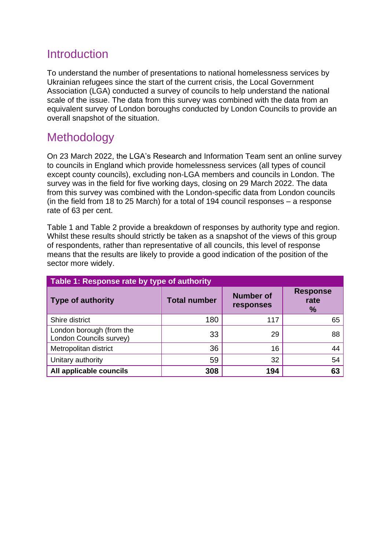### <span id="page-4-0"></span>**Introduction**

To understand the number of presentations to national homelessness services by Ukrainian refugees since the start of the current crisis, the Local Government Association (LGA) conducted a survey of councils to help understand the national scale of the issue. The data from this survey was combined with the data from an equivalent survey of London boroughs conducted by London Councils to provide an overall snapshot of the situation.

### <span id="page-4-1"></span>**Methodology**

On 23 March 2022, the LGA's Research and Information Team sent an online survey to councils in England which provide homelessness services (all types of council except county councils), excluding non-LGA members and councils in London. The survey was in the field for five working days, closing on 29 March 2022. The data from this survey was combined with the London-specific data from London councils (in the field from 18 to 25 March) for a total of 194 council responses – a response rate of 63 per cent.

[Table 1](#page-4-2) and [Table 2](#page-5-1) provide a breakdown of responses by authority type and region. Whilst these results should strictly be taken as a snapshot of the views of this group of respondents, rather than representative of all councils, this level of response means that the results are likely to provide a good indication of the position of the sector more widely.

<span id="page-4-2"></span>

| Table 1: Response rate by type of authority         |                     |                               |                                 |  |  |  |
|-----------------------------------------------------|---------------------|-------------------------------|---------------------------------|--|--|--|
| <b>Type of authority</b>                            | <b>Total number</b> | <b>Number of</b><br>responses | <b>Response</b><br>rate<br>$\%$ |  |  |  |
| Shire district                                      | 180                 | 117                           | 65                              |  |  |  |
| London borough (from the<br>London Councils survey) | 33                  | 29                            | 88                              |  |  |  |
| Metropolitan district                               | 36                  | 16                            | 44                              |  |  |  |
| Unitary authority                                   | 59                  | 32                            | 54                              |  |  |  |
| All applicable councils                             | 308                 | 194                           | 63                              |  |  |  |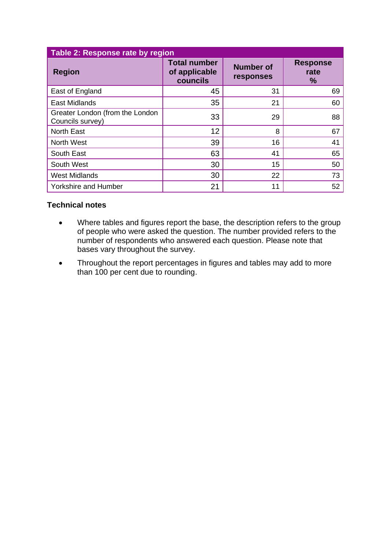<span id="page-5-1"></span>

| Table 2: Response rate by region                    |                                                  |                               |                                 |  |  |
|-----------------------------------------------------|--------------------------------------------------|-------------------------------|---------------------------------|--|--|
| <b>Region</b>                                       | <b>Total number</b><br>of applicable<br>councils | <b>Number of</b><br>responses | <b>Response</b><br>rate<br>$\%$ |  |  |
| East of England                                     | 45                                               | 31                            | 69                              |  |  |
| <b>East Midlands</b>                                | 35                                               | 21                            | 60                              |  |  |
| Greater London (from the London<br>Councils survey) | 33                                               | 29                            | 88                              |  |  |
| <b>North East</b>                                   | 12                                               | 8                             | 67                              |  |  |
| <b>North West</b>                                   | 39                                               | 16                            | 41                              |  |  |
| South East                                          | 63                                               | 41                            | 65                              |  |  |
| South West                                          | 30                                               | 15                            | 50                              |  |  |
| <b>West Midlands</b>                                | 30                                               | 22                            | 73                              |  |  |
| <b>Yorkshire and Humber</b>                         | 21                                               | 11                            | 52                              |  |  |

#### <span id="page-5-0"></span>**Technical notes**

- Where tables and figures report the base, the description refers to the group of people who were asked the question. The number provided refers to the number of respondents who answered each question. Please note that bases vary throughout the survey.
- Throughout the report percentages in figures and tables may add to more than 100 per cent due to rounding.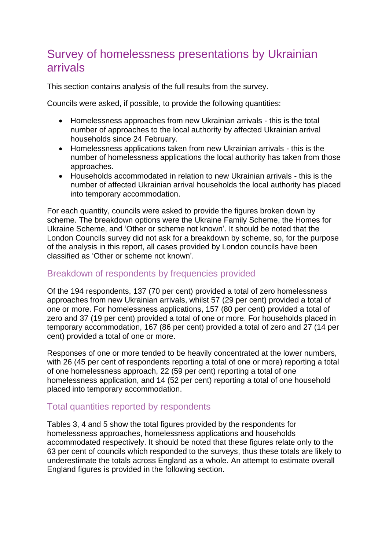## <span id="page-6-0"></span>Survey of homelessness presentations by Ukrainian arrivals

This section contains analysis of the full results from the survey.

Councils were asked, if possible, to provide the following quantities:

- Homelessness approaches from new Ukrainian arrivals this is the total number of approaches to the local authority by affected Ukrainian arrival households since 24 February.
- Homelessness applications taken from new Ukrainian arrivals this is the number of homelessness applications the local authority has taken from those approaches.
- Households accommodated in relation to new Ukrainian arrivals this is the number of affected Ukrainian arrival households the local authority has placed into temporary accommodation.

For each quantity, councils were asked to provide the figures broken down by scheme. The breakdown options were the Ukraine Family Scheme, the Homes for Ukraine Scheme, and 'Other or scheme not known'. It should be noted that the London Councils survey did not ask for a breakdown by scheme, so, for the purpose of the analysis in this report, all cases provided by London councils have been classified as 'Other or scheme not known'.

#### <span id="page-6-1"></span>Breakdown of respondents by frequencies provided

Of the 194 respondents, 137 (70 per cent) provided a total of zero homelessness approaches from new Ukrainian arrivals, whilst 57 (29 per cent) provided a total of one or more. For homelessness applications, 157 (80 per cent) provided a total of zero and 37 (19 per cent) provided a total of one or more. For households placed in temporary accommodation, 167 (86 per cent) provided a total of zero and 27 (14 per cent) provided a total of one or more.

Responses of one or more tended to be heavily concentrated at the lower numbers, with 26 (45 per cent of respondents reporting a total of one or more) reporting a total of one homelessness approach, 22 (59 per cent) reporting a total of one homelessness application, and 14 (52 per cent) reporting a total of one household placed into temporary accommodation.

#### <span id="page-6-2"></span>Total quantities reported by respondents

Tables 3, 4 and 5 show the total figures provided by the respondents for homelessness approaches, homelessness applications and households accommodated respectively. It should be noted that these figures relate only to the 63 per cent of councils which responded to the surveys, thus these totals are likely to underestimate the totals across England as a whole. An attempt to estimate overall England figures is provided in the following section.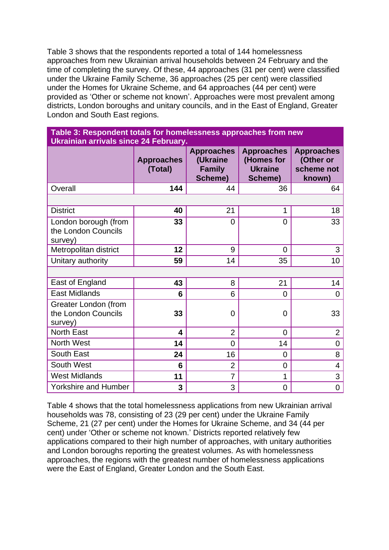Table 3 shows that the respondents reported a total of 144 homelessness approaches from new Ukrainian arrival households between 24 February and the time of completing the survey. Of these, 44 approaches (31 per cent) were classified under the Ukraine Family Scheme, 36 approaches (25 per cent) were classified under the Homes for Ukraine Scheme, and 64 approaches (44 per cent) were provided as 'Other or scheme not known'. Approaches were most prevalent among districts, London boroughs and unitary councils, and in the East of England, Greater London and South East regions.

| Table 3: Respondent totals for homelessness approaches from new |  |
|-----------------------------------------------------------------|--|
| Ukrainian arrivals since 24 February.                           |  |

|                                                               | <b>Approaches</b><br>(Total) | <b>Approaches</b><br>(Ukraine<br><b>Family</b><br>Scheme) | <b>Approaches</b><br>(Homes for<br><b>Ukraine</b><br>Scheme) | <b>Approaches</b><br>(Other or<br>scheme not<br>known) |
|---------------------------------------------------------------|------------------------------|-----------------------------------------------------------|--------------------------------------------------------------|--------------------------------------------------------|
| Overall                                                       | 144                          | 44                                                        | 36                                                           | 64                                                     |
|                                                               |                              |                                                           |                                                              |                                                        |
| <b>District</b>                                               | 40                           | 21                                                        | 1                                                            | 18                                                     |
| London borough (from<br>the London Councils<br>survey)        | 33                           | $\overline{0}$                                            | $\overline{0}$                                               | 33                                                     |
| Metropolitan district                                         | 12                           | 9                                                         | $\overline{0}$                                               | 3                                                      |
| Unitary authority                                             | 59                           | 14                                                        | 35                                                           | 10                                                     |
|                                                               |                              |                                                           |                                                              |                                                        |
| East of England                                               | 43                           | 8                                                         | 21                                                           | 14                                                     |
| <b>East Midlands</b>                                          | 6                            | 6                                                         | $\overline{0}$                                               | $\overline{0}$                                         |
| <b>Greater London (from</b><br>the London Councils<br>survey) | 33                           | $\overline{0}$                                            | $\overline{0}$                                               | 33                                                     |
| <b>North East</b>                                             | 4                            | $\overline{2}$                                            | $\overline{0}$                                               | $\overline{2}$                                         |
| North West                                                    | 14                           | $\overline{0}$                                            | 14                                                           | 0                                                      |
| South East                                                    | 24                           | 16                                                        | $\overline{0}$                                               | 8                                                      |
| South West                                                    | 6                            | $\overline{2}$                                            | $\overline{0}$                                               | $\overline{4}$                                         |
| <b>West Midlands</b>                                          | 11                           | 7                                                         | 1                                                            | 3                                                      |
| <b>Yorkshire and Humber</b>                                   | 3                            | 3                                                         | $\mathbf 0$                                                  | $\overline{0}$                                         |

Table 4 shows that the total homelessness applications from new Ukrainian arrival households was 78, consisting of 23 (29 per cent) under the Ukraine Family Scheme, 21 (27 per cent) under the Homes for Ukraine Scheme, and 34 (44 per cent) under 'Other or scheme not known.' Districts reported relatively few applications compared to their high number of approaches, with unitary authorities and London boroughs reporting the greatest volumes. As with homelessness approaches, the regions with the greatest number of homelessness applications were the East of England, Greater London and the South East.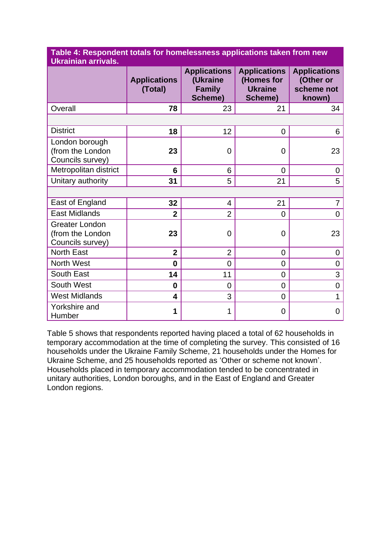**Table 4: Respondent totals for homelessness applications taken from new Ukrainian arrivals.**

|                                                               | <b>Applications</b><br>(Total) | <b>Applications</b><br>(Ukraine<br><b>Family</b><br>Scheme) | <b>Applications</b><br>(Homes for<br><b>Ukraine</b><br>Scheme) | <b>Applications</b><br>(Other or<br>scheme not<br>known) |
|---------------------------------------------------------------|--------------------------------|-------------------------------------------------------------|----------------------------------------------------------------|----------------------------------------------------------|
| Overall                                                       | 78                             | 23                                                          | 21                                                             | 34                                                       |
|                                                               |                                |                                                             |                                                                |                                                          |
| <b>District</b>                                               | 18                             | 12                                                          | 0                                                              | 6                                                        |
| London borough<br>(from the London<br>Councils survey)        | 23                             | $\overline{0}$                                              | 0                                                              | 23                                                       |
| Metropolitan district                                         | 6                              | 6                                                           | 0                                                              | $\overline{0}$                                           |
| Unitary authority                                             | 31                             | 5                                                           | 21                                                             | 5                                                        |
|                                                               |                                |                                                             |                                                                |                                                          |
| East of England                                               | 32                             | $\overline{4}$                                              | 21                                                             | 7                                                        |
| <b>East Midlands</b>                                          | $\overline{2}$                 | $\overline{2}$                                              | 0                                                              | $\overline{0}$                                           |
| <b>Greater London</b><br>(from the London<br>Councils survey) | 23                             | 0                                                           | 0                                                              | 23                                                       |
| North East                                                    | $\overline{2}$                 | $\overline{2}$                                              | 0                                                              | $\overline{0}$                                           |
| North West                                                    | $\bf{0}$                       | $\overline{0}$                                              | 0                                                              | 0                                                        |
| South East                                                    | 14                             | 11                                                          | 0                                                              | 3                                                        |
| South West                                                    | 0                              | $\overline{0}$                                              | 0                                                              | 0                                                        |
| <b>West Midlands</b>                                          | 4                              | 3                                                           | 0                                                              | 1                                                        |
| Yorkshire and<br>Humber                                       | 1                              | 1                                                           | 0                                                              | 0                                                        |

Table 5 shows that respondents reported having placed a total of 62 households in temporary accommodation at the time of completing the survey. This consisted of 16 households under the Ukraine Family Scheme, 21 households under the Homes for Ukraine Scheme, and 25 households reported as 'Other or scheme not known'. Households placed in temporary accommodation tended to be concentrated in unitary authorities, London boroughs, and in the East of England and Greater London regions.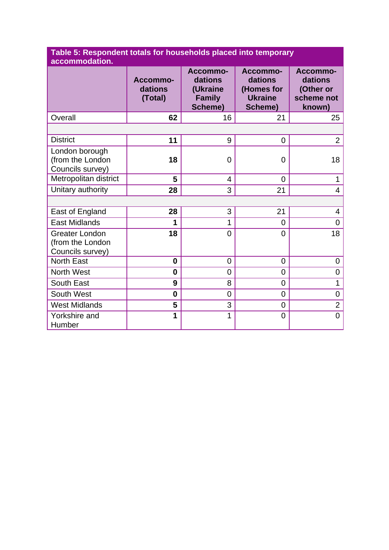| Table 5: Respondent totals for households placed into temporary |
|-----------------------------------------------------------------|
| accommodation.                                                  |

|                                                               | Accommo-<br>dations<br>(Total) | Accommo-<br>dations<br>(Ukraine<br><b>Family</b><br><b>Scheme)</b> | Accommo-<br>dations<br>(Homes for<br><b>Ukraine</b><br>Scheme) | Accommo-<br>dations<br>(Other or<br>scheme not<br>known) |
|---------------------------------------------------------------|--------------------------------|--------------------------------------------------------------------|----------------------------------------------------------------|----------------------------------------------------------|
| Overall                                                       | 62                             | 16                                                                 | 21                                                             | 25                                                       |
|                                                               |                                |                                                                    |                                                                |                                                          |
| <b>District</b>                                               | 11                             | 9                                                                  | $\overline{0}$                                                 | $\overline{2}$                                           |
| London borough<br>(from the London<br>Councils survey)        | 18                             | $\overline{0}$                                                     | $\Omega$                                                       | 18                                                       |
| Metropolitan district                                         | 5                              | 4                                                                  | $\overline{0}$                                                 | 1                                                        |
| Unitary authority                                             | 28                             | 3                                                                  | 21                                                             | $\overline{4}$                                           |
|                                                               |                                |                                                                    |                                                                |                                                          |
| East of England                                               | 28                             | 3                                                                  | 21                                                             | 4                                                        |
| <b>East Midlands</b>                                          | 1                              | 1                                                                  | 0                                                              | $\overline{0}$                                           |
| <b>Greater London</b><br>(from the London<br>Councils survey) | 18                             | $\overline{0}$                                                     | $\overline{0}$                                                 | 18                                                       |
| <b>North East</b>                                             | $\bf{0}$                       | $\overline{0}$                                                     | $\overline{0}$                                                 | 0                                                        |
| North West                                                    | 0                              | 0                                                                  | $\overline{0}$                                                 | 0                                                        |
| South East                                                    | 9                              | 8                                                                  | $\overline{0}$                                                 | 1                                                        |
| South West                                                    | $\bf{0}$                       | $\overline{0}$                                                     | $\overline{0}$                                                 | 0                                                        |
| <b>West Midlands</b>                                          | 5                              | 3                                                                  | $\overline{0}$                                                 | $\overline{2}$                                           |
| Yorkshire and<br>Humber                                       | 1                              | 1                                                                  | $\overline{0}$                                                 | $\overline{0}$                                           |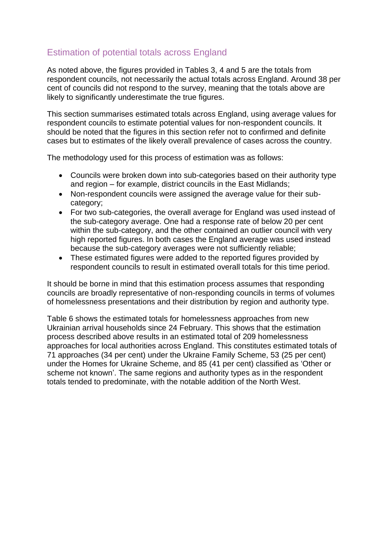### <span id="page-10-0"></span>Estimation of potential totals across England

As noted above, the figures provided in Tables 3, 4 and 5 are the totals from respondent councils, not necessarily the actual totals across England. Around 38 per cent of councils did not respond to the survey, meaning that the totals above are likely to significantly underestimate the true figures.

This section summarises estimated totals across England, using average values for respondent councils to estimate potential values for non-respondent councils. It should be noted that the figures in this section refer not to confirmed and definite cases but to estimates of the likely overall prevalence of cases across the country.

The methodology used for this process of estimation was as follows:

- Councils were broken down into sub-categories based on their authority type and region – for example, district councils in the East Midlands;
- Non-respondent councils were assigned the average value for their subcategory;
- For two sub-categories, the overall average for England was used instead of the sub-category average. One had a response rate of below 20 per cent within the sub-category, and the other contained an outlier council with very high reported figures. In both cases the England average was used instead because the sub-category averages were not sufficiently reliable;
- These estimated figures were added to the reported figures provided by respondent councils to result in estimated overall totals for this time period.

It should be borne in mind that this estimation process assumes that responding councils are broadly representative of non-responding councils in terms of volumes of homelessness presentations and their distribution by region and authority type.

Table 6 shows the estimated totals for homelessness approaches from new Ukrainian arrival households since 24 February. This shows that the estimation process described above results in an estimated total of 209 homelessness approaches for local authorities across England. This constitutes estimated totals of 71 approaches (34 per cent) under the Ukraine Family Scheme, 53 (25 per cent) under the Homes for Ukraine Scheme, and 85 (41 per cent) classified as 'Other or scheme not known'. The same regions and authority types as in the respondent totals tended to predominate, with the notable addition of the North West.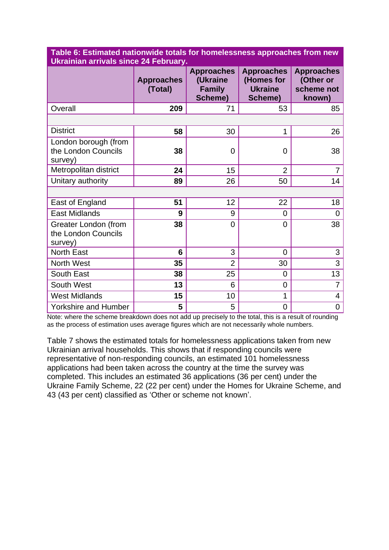| UKrainian arrivais since 24 February.                         |                              |                                                           |                                                              |                                                        |  |
|---------------------------------------------------------------|------------------------------|-----------------------------------------------------------|--------------------------------------------------------------|--------------------------------------------------------|--|
|                                                               | <b>Approaches</b><br>(Total) | <b>Approaches</b><br>(Ukraine<br><b>Family</b><br>Scheme) | <b>Approaches</b><br>(Homes for<br><b>Ukraine</b><br>Scheme) | <b>Approaches</b><br>(Other or<br>scheme not<br>known) |  |
| Overall                                                       | 209                          | 71                                                        | 53                                                           | 85                                                     |  |
|                                                               |                              |                                                           |                                                              |                                                        |  |
| <b>District</b>                                               | 58                           | 30                                                        | 1                                                            | 26                                                     |  |
| London borough (from<br>the London Councils<br>survey)        | 38                           | $\overline{0}$                                            | $\overline{0}$                                               | 38                                                     |  |
| Metropolitan district                                         | 24                           | 15                                                        | $\overline{2}$                                               | 7                                                      |  |
| Unitary authority                                             | 89                           | 26                                                        | 50                                                           | 14                                                     |  |
|                                                               |                              |                                                           |                                                              |                                                        |  |
| East of England                                               | 51                           | 12                                                        | 22                                                           | 18                                                     |  |
| <b>East Midlands</b>                                          | 9                            | 9                                                         | $\overline{0}$                                               | $\overline{0}$                                         |  |
| <b>Greater London (from</b><br>the London Councils<br>survey) | 38                           | $\overline{0}$                                            | $\overline{0}$                                               | 38                                                     |  |
| <b>North East</b>                                             | 6                            | 3                                                         | $\Omega$                                                     | 3                                                      |  |
| North West                                                    | 35                           | $\overline{2}$                                            | 30                                                           | 3                                                      |  |
| South East                                                    | 38                           | 25                                                        | $\overline{0}$                                               | 13                                                     |  |
| South West                                                    | 13                           | 6                                                         | $\mathbf 0$                                                  | $\overline{7}$                                         |  |
| <b>West Midlands</b>                                          | 15                           | 10                                                        | 1                                                            | $\overline{4}$                                         |  |
| <b>Yorkshire and Humber</b>                                   | 5                            | 5                                                         | 0                                                            | 0                                                      |  |

**Table 6: Estimated nationwide totals for homelessness approaches from new Ukrainian arrivals since 24 February.**

Note: where the scheme breakdown does not add up precisely to the total, this is a result of rounding as the process of estimation uses average figures which are not necessarily whole numbers.

Table 7 shows the estimated totals for homelessness applications taken from new Ukrainian arrival households. This shows that if responding councils were representative of non-responding councils, an estimated 101 homelessness applications had been taken across the country at the time the survey was completed. This includes an estimated 36 applications (36 per cent) under the Ukraine Family Scheme, 22 (22 per cent) under the Homes for Ukraine Scheme, and 43 (43 per cent) classified as 'Other or scheme not known'.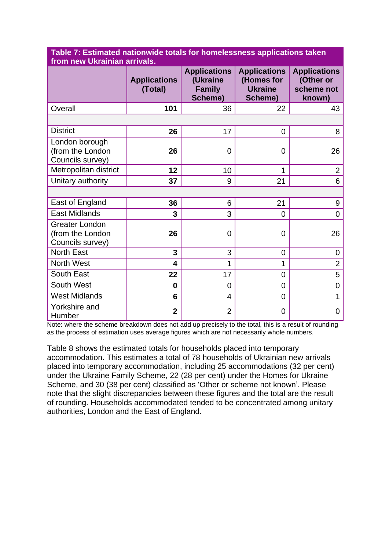| from new Ukrainian arrivals.                                  |                                |                                                             |                                                                |                                                          |  |
|---------------------------------------------------------------|--------------------------------|-------------------------------------------------------------|----------------------------------------------------------------|----------------------------------------------------------|--|
|                                                               | <b>Applications</b><br>(Total) | <b>Applications</b><br>(Ukraine<br><b>Family</b><br>Scheme) | <b>Applications</b><br>(Homes for<br><b>Ukraine</b><br>Scheme) | <b>Applications</b><br>(Other or<br>scheme not<br>known) |  |
| Overall                                                       | 101                            | 36                                                          | 22                                                             | 43                                                       |  |
|                                                               |                                |                                                             |                                                                |                                                          |  |
| <b>District</b>                                               | 26                             | 17                                                          | 0                                                              | 8                                                        |  |
| London borough<br>(from the London<br>Councils survey)        | 26                             | 0                                                           | 0                                                              | 26                                                       |  |
| Metropolitan district                                         | 12                             | 10                                                          | 1                                                              | $\overline{2}$                                           |  |
| Unitary authority                                             | 37                             | 9                                                           | 21                                                             | 6                                                        |  |
|                                                               |                                |                                                             |                                                                |                                                          |  |
| East of England                                               | 36                             | 6                                                           | 21                                                             | 9                                                        |  |
| <b>East Midlands</b>                                          | 3                              | 3                                                           | 0                                                              | 0                                                        |  |
| <b>Greater London</b><br>(from the London<br>Councils survey) | 26                             | 0                                                           | 0                                                              | 26                                                       |  |
| <b>North East</b>                                             | 3                              | 3                                                           | 0                                                              | 0                                                        |  |
| North West                                                    | 4                              | 1                                                           | 1                                                              | $\overline{2}$                                           |  |
| South East                                                    | 22                             | 17                                                          | 0                                                              | 5                                                        |  |
| South West                                                    | 0                              | $\overline{0}$                                              | 0                                                              | 0                                                        |  |
| <b>West Midlands</b>                                          | 6                              | 4                                                           | 0                                                              | 1                                                        |  |
| Yorkshire and<br>Humber                                       | $\overline{2}$                 | $\overline{2}$                                              | 0                                                              | 0                                                        |  |

**Table 7: Estimated nationwide totals for homelessness applications taken** 

Note: where the scheme breakdown does not add up precisely to the total, this is a result of rounding as the process of estimation uses average figures which are not necessarily whole numbers.

Table 8 shows the estimated totals for households placed into temporary accommodation. This estimates a total of 78 households of Ukrainian new arrivals placed into temporary accommodation, including 25 accommodations (32 per cent) under the Ukraine Family Scheme, 22 (28 per cent) under the Homes for Ukraine Scheme, and 30 (38 per cent) classified as 'Other or scheme not known'. Please note that the slight discrepancies between these figures and the total are the result of rounding. Households accommodated tended to be concentrated among unitary authorities, London and the East of England.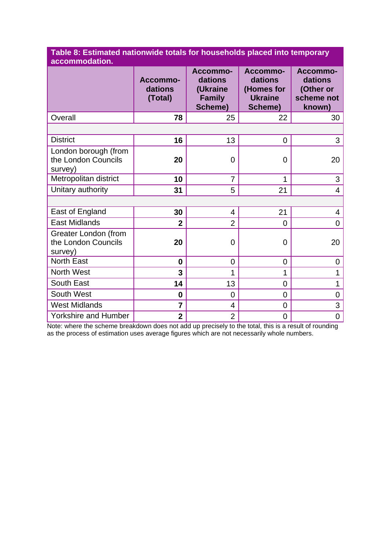| Table 8: Estimated nationwide totals for households placed into temporary |
|---------------------------------------------------------------------------|
| accommodation.                                                            |

|                                                        | Accommo-<br>dations<br>(Total) | Accommo-<br>dations<br>(Ukraine<br><b>Family</b><br>Scheme) | Accommo-<br>dations<br>(Homes for<br><b>Ukraine</b><br>Scheme) | Accommo-<br>dations<br>(Other or<br>scheme not<br>known) |
|--------------------------------------------------------|--------------------------------|-------------------------------------------------------------|----------------------------------------------------------------|----------------------------------------------------------|
| Overall                                                | 78                             | 25                                                          | 22                                                             | 30                                                       |
|                                                        |                                |                                                             |                                                                |                                                          |
| <b>District</b>                                        | 16                             | 13                                                          | 0                                                              | 3                                                        |
| London borough (from<br>the London Councils<br>survey) | 20                             | $\overline{0}$                                              | 0                                                              | 20                                                       |
| Metropolitan district                                  | 10                             | $\overline{7}$                                              | 1                                                              | 3                                                        |
| Unitary authority                                      | 31                             | 5                                                           | 21                                                             | $\overline{4}$                                           |
|                                                        |                                |                                                             |                                                                |                                                          |
| East of England                                        | 30                             | $\overline{4}$                                              | 21                                                             | $\overline{4}$                                           |
| <b>East Midlands</b>                                   | $\overline{2}$                 | $\overline{2}$                                              | $\Omega$                                                       | 0                                                        |
| Greater London (from<br>the London Councils<br>survey) | 20                             | $\overline{0}$                                              | $\overline{0}$                                                 | 20                                                       |
| <b>North East</b>                                      | $\bf{0}$                       | $\overline{0}$                                              | $\mathbf 0$                                                    | $\overline{0}$                                           |
| North West                                             | 3                              | 1                                                           | 1                                                              | 1                                                        |
| South East                                             | 14                             | 13                                                          | $\overline{0}$                                                 | 1                                                        |
| South West                                             | 0                              | $\overline{0}$                                              | $\mathbf 0$                                                    | 0                                                        |
| <b>West Midlands</b>                                   | 7                              | $\overline{4}$                                              | $\overline{0}$                                                 | 3                                                        |
| <b>Yorkshire and Humber</b>                            | $\overline{\mathbf{2}}$        | $\overline{2}$                                              | $\mathbf 0$                                                    | 0                                                        |

Note: where the scheme breakdown does not add up precisely to the total, this is a result of rounding as the process of estimation uses average figures which are not necessarily whole numbers.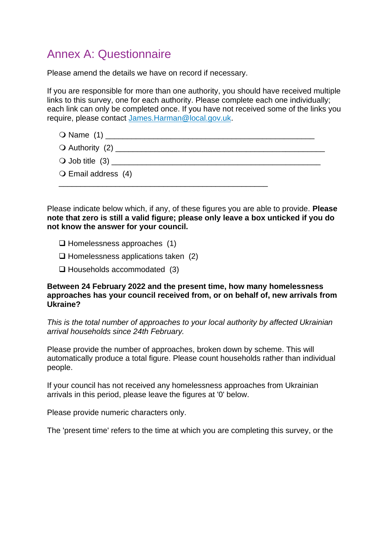## <span id="page-14-0"></span>Annex A: Questionnaire

Please amend the details we have on record if necessary.

If you are responsible for more than one authority, you should have received multiple links to this survey, one for each authority. Please complete each one individually; each link can only be completed once. If you have not received some of the links you require, please contact [James.Harman@local.gov.uk.](mailto:James.Harman@local.gov.uk?subject=LGA%20Ukrainian%20Arrivals%20Survey)

- Name (1) \_\_\_\_\_\_\_\_\_\_\_\_\_\_\_\_\_\_\_\_\_\_\_\_\_\_\_\_\_\_\_\_\_\_\_\_\_\_\_\_\_\_\_\_\_\_\_\_
- Authority (2) \_\_\_\_\_\_\_\_\_\_\_\_\_\_\_\_\_\_\_\_\_\_\_\_\_\_\_\_\_\_\_\_\_\_\_\_\_\_\_\_\_\_\_\_\_\_\_\_
- $\bigcirc$  Job title  $(3)$
- O Email address (4) \_\_\_\_\_\_\_\_\_\_\_\_\_\_\_\_\_\_\_\_\_\_\_\_\_\_\_\_\_\_\_\_\_\_\_\_\_\_\_\_\_\_\_\_\_\_\_\_

Please indicate below which, if any, of these figures you are able to provide. **Please note that zero is still a valid figure; please only leave a box unticked if you do not know the answer for your council.**

- ❑ Homelessness approaches (1)
- $\Box$  Homelessness applications taken (2)
- ❑ Households accommodated (3)

#### **Between 24 February 2022 and the present time, how many homelessness approaches has your council received from, or on behalf of, new arrivals from Ukraine?**

*This is the total number of approaches to your local authority by affected Ukrainian arrival households since 24th February.*

Please provide the number of approaches, broken down by scheme. This will automatically produce a total figure. Please count households rather than individual people.

If your council has not received any homelessness approaches from Ukrainian arrivals in this period, please leave the figures at '0' below.

Please provide numeric characters only.

The 'present time' refers to the time at which you are completing this survey, or the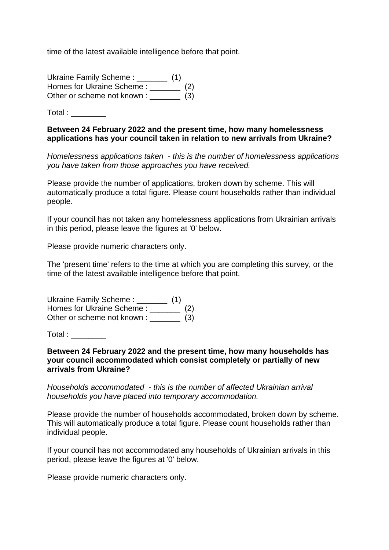time of the latest available intelligence before that point.

Ukraine Family Scheme : \_\_\_\_\_\_\_ (1) Homes for Ukraine Scheme : \_\_\_\_\_\_\_ (2) Other or scheme not known : \_\_\_\_\_\_\_ (3)

 $Total:$ 

#### **Between 24 February 2022 and the present time, how many homelessness applications has your council taken in relation to new arrivals from Ukraine?**

*Homelessness applications taken - this is the number of homelessness applications you have taken from those approaches you have received.*

Please provide the number of applications, broken down by scheme. This will automatically produce a total figure. Please count households rather than individual people.

If your council has not taken any homelessness applications from Ukrainian arrivals in this period, please leave the figures at '0' below.

Please provide numeric characters only.

The 'present time' refers to the time at which you are completing this survey, or the time of the latest available intelligence before that point.

Ukraine Family Scheme : \_\_\_\_\_\_\_ (1) Homes for Ukraine Scheme :  $(2)$ Other or scheme not known : \_\_\_\_\_\_\_ (3)

Total :

**Between 24 February 2022 and the present time, how many households has your council accommodated which consist completely or partially of new arrivals from Ukraine?**

*Households accommodated - this is the number of affected Ukrainian arrival households you have placed into temporary accommodation.*

Please provide the number of households accommodated, broken down by scheme. This will automatically produce a total figure. Please count households rather than individual people.

If your council has not accommodated any households of Ukrainian arrivals in this period, please leave the figures at '0' below.

Please provide numeric characters only.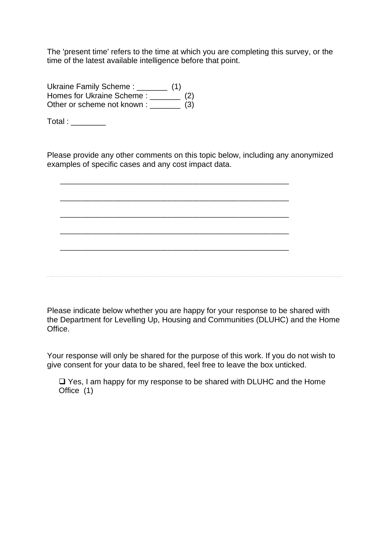The 'present time' refers to the time at which you are completing this survey, or the time of the latest available intelligence before that point.

Ukraine Family Scheme : \_\_\_\_\_\_\_ (1) Homes for Ukraine Scheme : \_\_\_\_\_\_\_\_ (2) Other or scheme not known : \_\_\_\_\_\_\_ (3)

Total : \_\_\_\_\_\_\_\_\_

Please provide any other comments on this topic below, including any anonymized examples of specific cases and any cost impact data.

\_\_\_\_\_\_\_\_\_\_\_\_\_\_\_\_\_\_\_\_\_\_\_\_\_\_\_\_\_\_\_\_\_\_\_\_\_\_\_\_\_\_\_\_\_\_\_\_\_\_\_\_\_\_\_\_\_\_\_\_\_\_\_\_

\_\_\_\_\_\_\_\_\_\_\_\_\_\_\_\_\_\_\_\_\_\_\_\_\_\_\_\_\_\_\_\_\_\_\_\_\_\_\_\_\_\_\_\_\_\_\_\_\_\_\_\_\_\_\_\_\_\_\_\_\_\_\_\_

\_\_\_\_\_\_\_\_\_\_\_\_\_\_\_\_\_\_\_\_\_\_\_\_\_\_\_\_\_\_\_\_\_\_\_\_\_\_\_\_\_\_\_\_\_\_\_\_\_\_\_\_\_\_\_\_\_\_\_\_\_\_\_\_

\_\_\_\_\_\_\_\_\_\_\_\_\_\_\_\_\_\_\_\_\_\_\_\_\_\_\_\_\_\_\_\_\_\_\_\_\_\_\_\_\_\_\_\_\_\_\_\_\_\_\_\_\_\_\_\_\_\_\_\_\_\_\_\_ \_\_\_\_\_\_\_\_\_\_\_\_\_\_\_\_\_\_\_\_\_\_\_\_\_\_\_\_\_\_\_\_\_\_\_\_\_\_\_\_\_\_\_\_\_\_\_\_\_\_\_\_\_\_\_\_\_\_\_\_\_\_\_\_

Please indicate below whether you are happy for your response to be shared with the Department for Levelling Up, Housing and Communities (DLUHC) and the Home Office.

Your response will only be shared for the purpose of this work. If you do not wish to give consent for your data to be shared, feel free to leave the box unticked.

❑ Yes, I am happy for my response to be shared with DLUHC and the Home Office (1)